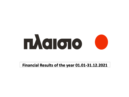# 

## **Financial Results of the year 01.01-31.12.2021**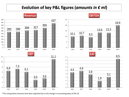## Evolution of key P&L figures (amounts in  $\epsilon$  ml)

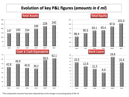## **Evolution of key P&L figures (***amounts in € ml***)**

#### **Total Assets**

**Total Equity**



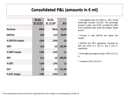## **Consolidated P&L (amounts in € ml)**

|                 | $01.01 -$ | $01.01 -$ |            |
|-----------------|-----------|-----------|------------|
|                 | 31.12.21  | 31.12.20* | $\Delta\%$ |
| Revenue         | 436,9     | 354,6     | 23,2%      |
| <b>EBITDA</b>   | 19,9      | 13,3      | 49,6%      |
| % EBITDA margin | 4,6%      | 3,8%      | 0,8        |
| <b>EBIT</b>     | 12,8      | 5,5       | 131,3%     |
| % EBIT margin   | 2,9%      | 1,6%      | 1,4        |
| <b>EBT</b>      | 11,1      | 3,6       | 206,0%     |
| % EBT           | 2,5%      | 1,0%      | 1,5        |
| <b>EAT</b>      | 8,5       | 3,1       | 171,4%     |
| % EAT margin    | 1,9%      | 0,9%      | 1,1        |

 *Consolidated sales at € 436,9 m. with a strong double-digit increase (+23,2%). The percentage increase in sales, was 18,2%, excluding the effect of the subsidized sales under the program "Digital Access".*

 *Increase in both EBITDA and bottom line margins.*

 *EBITDA and EBIT significantly increased by 50% and 131% to € 19,9 m. and € 12,8 m., respectively.*

*Three-digit percentage increase in EBT, to € 11,1 m..*

 $\checkmark$  Increase in EAT, to € 8,5 m..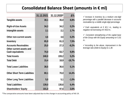## **Consolidated Balance Sheet (amounts in € ml)**

|                                              | 31.12.2021 | 31.12.2020* | $\Delta\%$ |
|----------------------------------------------|------------|-------------|------------|
| Tangible assets                              | 38,1       | 35,0        | 8,8%       |
| <b>Right-of-Use Assets</b>                   | 34,3       | 34,2        | 0,2%       |
| Intangible assets                            | 2,1        | 2,1         | 2,7%       |
| Other non-current assets                     | 4,6        | 4,6         | 0,2%       |
| Inventory                                    | 65,9       | 61,3        | 7,5%       |
| <b>Accounts Receivables</b>                  | 25,0       | 27,3        | $-8,2%$    |
| Other current assets and<br>Cash equivalents | 70,0       | 63,7        | 9,8%       |
| <b>Total Assets</b>                          | 240,0      | 228,2       | 5,2%       |
| <b>Total Debt</b>                            | 15,4       | 18,9        | $-18,7%$   |
| <b>Total Lease Liabilities</b>               | 38,5       | 36,6        | 5,1%       |
| <b>Other Short Term Liabilities</b>          | 80,1       | 70,0        | 14,4%      |
| <b>Other Long Term Liabilities</b>           | 5,0        | 5,1         | $-1,0%$    |
| <b>Total Liabilities</b>                     | 139,0      | 130,6       | 6,4%       |
| <b>Shareholders' Equity</b>                  | 101,0      | 97,6        | 3,6%       |

 *Increase in inventory by a medium one-digit percentage with a parallel decrease in accounts receivables by a middle single-digit percentage.*

 *Cash equivalents at € 62,1 m., leading to negative net borrowing of € 46,8 m..*

 *Consistent strengthening of the capital base of the Group with the Equity amounting to € 101 m..*

 *According to the above, improvement in the leverage ratio (Debt to Equity) to 1,38.*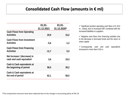## **Consolidated Cash Flow (amounts in € ml)**

|                                                          | $01.01 -$  | $01.01 -$   |
|----------------------------------------------------------|------------|-------------|
|                                                          | 31.12.2021 | 31.12.2020* |
| <b>Cash Flows from Operating</b><br><b>Activities</b>    | 20,9       | 15,2        |
| <b>Cash Flows from Investment</b><br><b>Activities</b>   | $-5,6$     | $-1,2$      |
| <b>Cash Flows from Financing</b><br><b>Activities</b>    | $-11,7$    | 5,3         |
| Net Increase / (decrease) in<br>cash and cash equivalent | 3,6        | 19,3        |
| Cash & Cash equivalents at<br>the beginning of period    | 58,5       | 39,2        |
| Cash & Cash equivalents at<br>the end of period          | 62,1       | 58,5        |

 *Significant positive operating cash flows of € 20,9 m., mainly, due to increased EBT combined with the increased liabilities to suppliers.*

 *Negative cash flows from financing activities due to the decrease in borrowed funds and the return of share capital.*

 *Consequently, cash and cash equivalents increased to more than*  $\epsilon$  *60 m.*